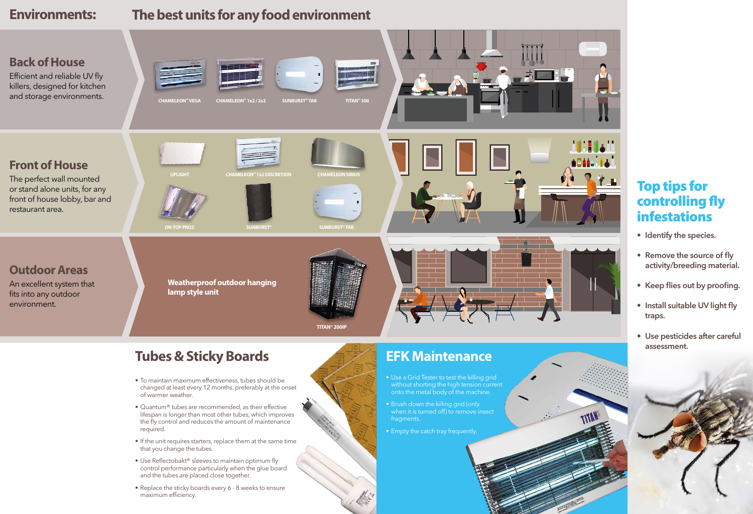

# **The best units for any food environment**

# **Tubes & Sticky Boards**

- To maintain maximum effectiveness, tubes should be changed at least every 12 months, preferably at the onset of warmer weather.
- Quantum® tubes are recommended, as their effective lifespan is longer than most other tubes, which improves the fly control and reduces the amount of maintenance required.
- If the unit requires starters, replace them at the same time that you change the tubes.
- Use Reflectobakt® sleeves to maintain optimum fly control performance particularly when the glue board and the tubes are placed close together.
- Replace the sticky boards every 6 8 weeks to ensure maximum efficiency.



- 
- 
- 

# **EFK Maintenance**

• Use a Grid Tester to test the killing grid without shorting the high tension current onto the metal body of the machine.

• Brush down the killing grid (only when it is turned off) to remove insect fragments.

• Empty the catch tray frequently.

# **Environments:**

# Top tips for controlling fly infestations

- **• Identify the species.**
- **• Remove the source of fly activity/breeding material.**
- **• Keep flies out by proofing.**
- **• Install suitable UV light fly traps.**
- **• Use pesticides after careful assessment.**



ATTA

## **Back of House**

Efficient and reliable UV fly killers, designed for kitchen and storage environments.









## **Front of House**

The perfect wall mounted or stand alone units, for any front of house lobby, bar and restaurant area.

## **Outdoor Areas**

An excellent system that fits into any outdoor environment.

**CHAMELEON® VEGA**



**ON-TOP PRO2**

**CHAMELEON® 1x2 / 2x2**





**SUNBURST®**

**SUNBURST® TAB**



**SUNBURST® TAB**

**TITAN® 300**

**TITAN® 200IP**

**Weatherproof outdoor hanging lamp style unit**